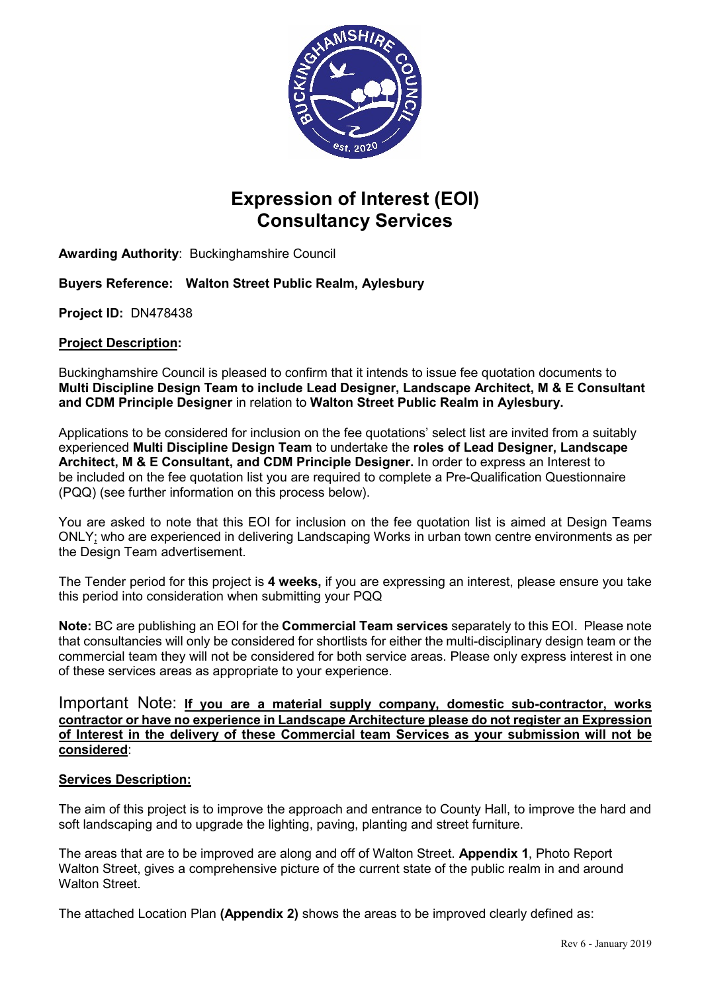

# **Expression of Interest (EOI) Consultancy Services**

**Awarding Authority**: Buckinghamshire Council

# **Buyers Reference: Walton Street Public Realm, Aylesbury**

**Project ID:** DN478438

## **Project Description:**

Buckinghamshire Council is pleased to confirm that it intends to issue fee quotation documents to **Multi Discipline Design Team to include Lead Designer, Landscape Architect, M & E Consultant and CDM Principle Designer** in relation to **Walton Street Public Realm in Aylesbury.**

Applications to be considered for inclusion on the fee quotations' select list are invited from a suitably experienced **Multi Discipline Design Team** to undertake the **roles of Lead Designer, Landscape Architect, M & E Consultant, and CDM Principle Designer.** In order to express an Interest to be included on the fee quotation list you are required to complete a Pre-Qualification Questionnaire (PQQ) (see further information on this process below).

You are asked to note that this EOI for inclusion on the fee quotation list is aimed at Design Teams ONLY; who are experienced in delivering Landscaping Works in urban town centre environments as per the Design Team advertisement.

The Tender period for this project is **4 weeks,** if you are expressing an interest, please ensure you take this period into consideration when submitting your PQQ

**Note:** BC are publishing an EOI for the **Commercial Team services** separately to this EOI. Please note that consultancies will only be considered for shortlists for either the multi-disciplinary design team or the commercial team they will not be considered for both service areas. Please only express interest in one of these services areas as appropriate to your experience.

### Important Note: **If you are a material supply company, domestic sub-contractor, works contractor or have no experience in Landscape Architecture please do not register an Expression of Interest in the delivery of these Commercial team Services as your submission will not be considered**:

## **Services Description:**

The aim of this project is to improve the approach and entrance to County Hall, to improve the hard and soft landscaping and to upgrade the lighting, paving, planting and street furniture.

The areas that are to be improved are along and off of Walton Street. **Appendix 1**, Photo Report Walton Street, gives a comprehensive picture of the current state of the public realm in and around Walton Street.

The attached Location Plan **(Appendix 2)** shows the areas to be improved clearly defined as: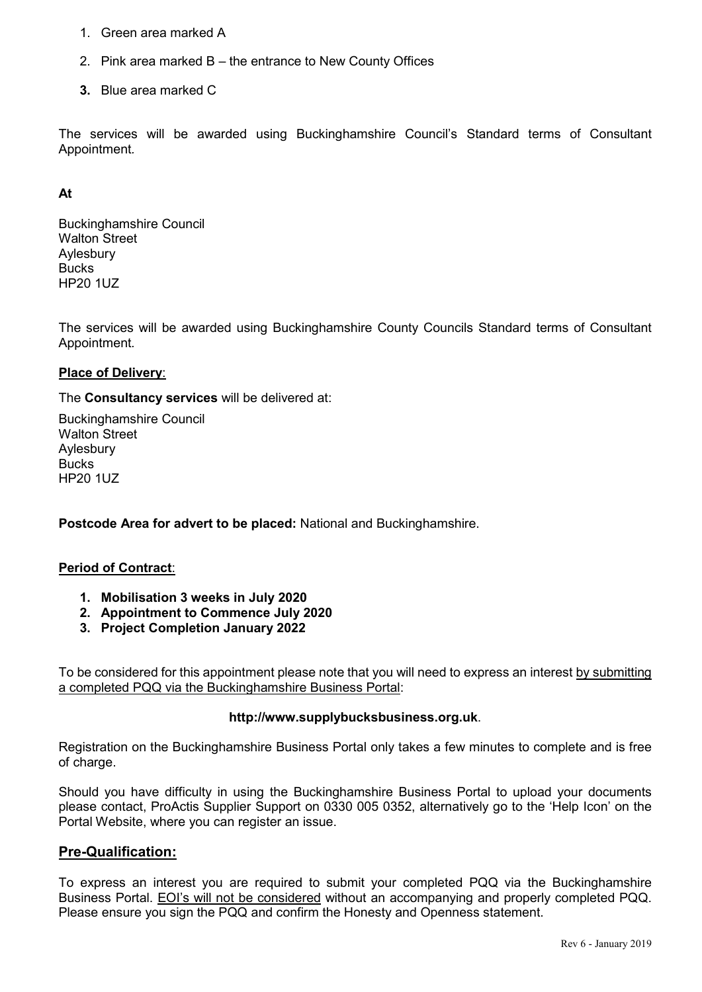- 1. Green area marked A
- 2. Pink area marked B the entrance to New County Offices
- **3.** Blue area marked C

The services will be awarded using Buckinghamshire Council's Standard terms of Consultant Appointment*.*

#### **At**

Buckinghamshire Council Walton Street Aylesbury **Bucks** HP20 1UZ

The services will be awarded using Buckinghamshire County Councils Standard terms of Consultant Appointment*.*

#### **Place of Delivery**:

The **Consultancy services** will be delivered at:

Buckinghamshire Council Walton Street Aylesbury **Bucks** HP20 1UZ

**Postcode Area for advert to be placed:** National and Buckinghamshire.

#### **Period of Contract**:

- **1. Mobilisation 3 weeks in July 2020**
- **2. Appointment to Commence July 2020**
- **3. Project Completion January 2022**

To be considered for this appointment please note that you will need to express an interest by submitting a completed PQQ via the Buckinghamshire Business Portal:

#### **http://www.supplybucksbusiness.org.uk**.

Registration on the Buckinghamshire Business Portal only takes a few minutes to complete and is free of charge.

Should you have difficulty in using the Buckinghamshire Business Portal to upload your documents please contact, ProActis Supplier Support on 0330 005 0352, alternatively go to the 'Help Icon' on the Portal Website, where you can register an issue.

## **Pre-Qualification:**

To express an interest you are required to submit your completed PQQ via the Buckinghamshire Business Portal. EOI's will not be considered without an accompanying and properly completed PQQ. Please ensure you sign the PQQ and confirm the Honesty and Openness statement.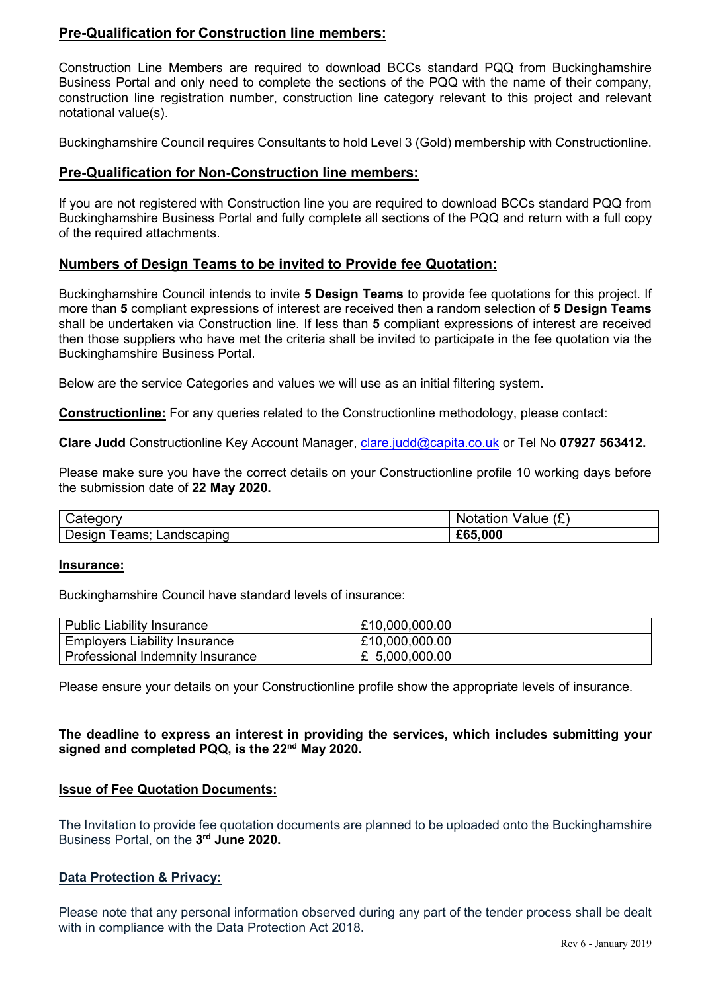# **Pre-Qualification for Construction line members:**

Construction Line Members are required to download BCCs standard PQQ from Buckinghamshire Business Portal and only need to complete the sections of the PQQ with the name of their company, construction line registration number, construction line category relevant to this project and relevant notational value(s).

Buckinghamshire Council requires Consultants to hold Level 3 (Gold) membership with Constructionline.

## **Pre-Qualification for Non-Construction line members:**

If you are not registered with Construction line you are required to download BCCs standard PQQ from Buckinghamshire Business Portal and fully complete all sections of the PQQ and return with a full copy of the required attachments.

## **Numbers of Design Teams to be invited to Provide fee Quotation:**

Buckinghamshire Council intends to invite **5 Design Teams** to provide fee quotations for this project. If more than **5** compliant expressions of interest are received then a random selection of **5 Design Teams** shall be undertaken via Construction line. If less than **5** compliant expressions of interest are received then those suppliers who have met the criteria shall be invited to participate in the fee quotation via the Buckinghamshire Business Portal.

Below are the service Categories and values we will use as an initial filtering system.

**Constructionline:** For any queries related to the Constructionline methodology, please contact:

**Clare Judd** Constructionline Key Account Manager, [clare.judd@capita.co.uk](mailto:clare.judd@capita.co.uk) or Tel No **07927 563412.**

Please make sure you have the correct details on your Constructionline profile 10 working days before the submission date of **22 May 2020.**

| Cateqorv                        | Value $(E)$<br>Notation |
|---------------------------------|-------------------------|
| Design<br>leams:<br>Landscaping | £65,000                 |

#### **Insurance:**

Buckinghamshire Council have standard levels of insurance:

| Public Liability Insurance       | £10,000,000.00 |
|----------------------------------|----------------|
| Employers Liability Insurance    | £10,000,000.00 |
| Professional Indemnity Insurance | £ 5,000,000.00 |

Please ensure your details on your Constructionline profile show the appropriate levels of insurance.

**The deadline to express an interest in providing the services, which includes submitting your signed and completed PQQ, is the 22nd May 2020.**

#### **Issue of Fee Quotation Documents:**

The Invitation to provide fee quotation documents are planned to be uploaded onto the Buckinghamshire Business Portal, on the **3rd June 2020.**

#### **Data Protection & Privacy:**

Please note that any personal information observed during any part of the tender process shall be dealt with in compliance with the Data Protection Act 2018.